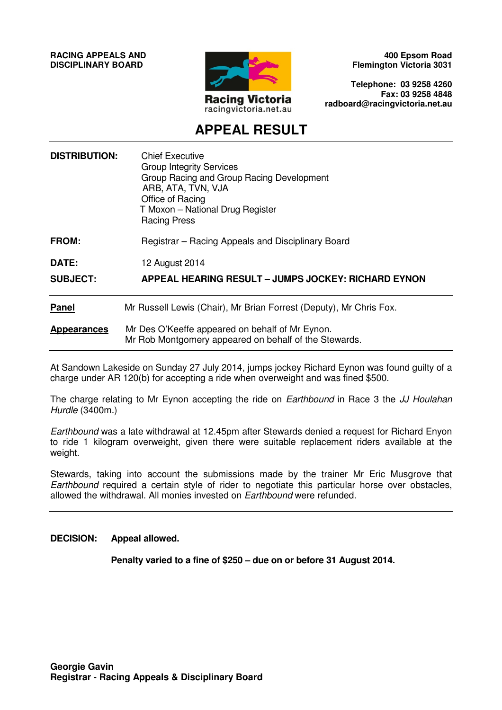**RACING APPEALS AND DISCIPLINARY BOARD**



**400 Epsom Road Flemington Victoria 3031** 

**Telephone: 03 9258 4260 Fax: 03 9258 4848 radboard@racingvictoria.net.au** 

## **APPEAL RESULT**

| <b>DISTRIBUTION:</b>     | <b>Chief Executive</b><br><b>Group Integrity Services</b><br>Group Racing and Group Racing Development<br>ARB, ATA, TVN, VJA<br>Office of Racing<br>T Moxon - National Drug Register<br><b>Racing Press</b> |
|--------------------------|-------------------------------------------------------------------------------------------------------------------------------------------------------------------------------------------------------------|
| <b>FROM:</b>             | Registrar - Racing Appeals and Disciplinary Board                                                                                                                                                           |
| DATE:<br><b>SUBJECT:</b> | 12 August 2014<br><b>APPEAL HEARING RESULT - JUMPS JOCKEY: RICHARD EYNON</b>                                                                                                                                |
| <b>Panel</b>             | Mr Russell Lewis (Chair), Mr Brian Forrest (Deputy), Mr Chris Fox.                                                                                                                                          |
| <b>Appearances</b>       | Mr Des O'Keeffe appeared on behalf of Mr Eynon.<br>Mr Rob Montgomery appeared on behalf of the Stewards.                                                                                                    |

At Sandown Lakeside on Sunday 27 July 2014, jumps jockey Richard Eynon was found guilty of a charge under AR 120(b) for accepting a ride when overweight and was fined \$500.

The charge relating to Mr Eynon accepting the ride on *Earthbound* in Race 3 the JJ Houlahan Hurdle (3400m.)

Earthbound was a late withdrawal at 12.45pm after Stewards denied a request for Richard Enyon to ride 1 kilogram overweight, given there were suitable replacement riders available at the weight.

Stewards, taking into account the submissions made by the trainer Mr Eric Musgrove that Earthbound required a certain style of rider to negotiate this particular horse over obstacles, allowed the withdrawal. All monies invested on Earthbound were refunded.

#### **DECISION: Appeal allowed.**

**Penalty varied to a fine of \$250 – due on or before 31 August 2014.**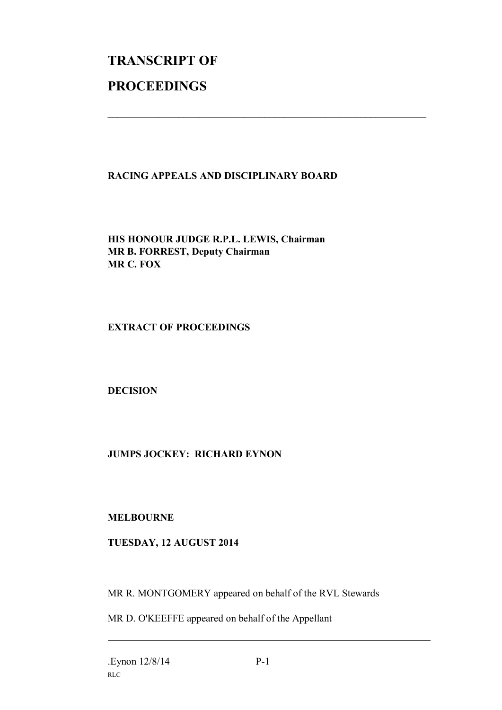# **TRANSCRIPT OF PROCEEDINGS**

#### **RACING APPEALS AND DISCIPLINARY BOARD**

 $\mathcal{L}_\text{max}$  , and the contribution of the contribution of the contribution of the contribution of the contribution of the contribution of the contribution of the contribution of the contribution of the contribution of t

**HIS HONOUR JUDGE R.P.L. LEWIS, Chairman MR B. FORREST, Deputy Chairman MR C. FOX**

**EXTRACT OF PROCEEDINGS**

**DECISION**

### **JUMPS JOCKEY: RICHARD EYNON**

**MELBOURNE**

### **TUESDAY, 12 AUGUST 2014**

MR R. MONTGOMERY appeared on behalf of the RVL Stewards

MR D. O'KEEFFE appeared on behalf of the Appellant